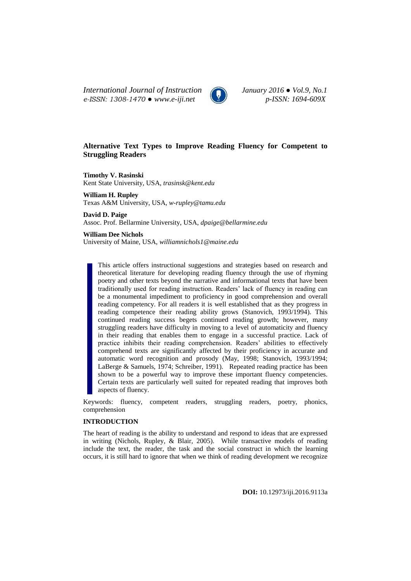*International Journal of Instruction January 2016 ● Vol.9, No.1 e-ISSN: 1308-1470 ● www.e-iji.net p-ISSN: 1694-609X*



# **Alternative Text Types to Improve Reading Fluency for Competent to Struggling Readers**

**Timothy V. Rasinski**  Kent State University, USA, *trasinsk@kent.edu*

**William H. Rupley**  Texas A&M University, USA, *[w-rupley@tamu.edu](mailto:w-rupley@tamu.edu)*

**David D. Paige** Assoc. Prof. Bellarmine University, USA, *dpaige@bellarmine.edu*

**William Dee Nichols** University of Maine, USA, *williamnichols1@maine.edu*

This article offers instructional suggestions and strategies based on research and theoretical literature for developing reading fluency through the use of rhyming poetry and other texts beyond the narrative and informational texts that have been traditionally used for reading instruction. Readers' lack of fluency in reading can be a monumental impediment to proficiency in good comprehension and overall reading competency. For all readers it is well established that as they progress in reading competence their reading ability grows (Stanovich, 1993/1994). This continued reading success begets continued reading growth; however, many struggling readers have difficulty in moving to a level of automaticity and fluency in their reading that enables them to engage in a successful practice. Lack of practice inhibits their reading comprehension. Readers' abilities to effectively comprehend texts are significantly affected by their proficiency in accurate and automatic word recognition and prosody (May, 1998; Stanovich, 1993/1994; LaBerge & Samuels, 1974; Schreiber, 1991). Repeated reading practice has been shown to be a powerful way to improve these important fluency competencies. Certain texts are particularly well suited for repeated reading that improves both aspects of fluency.

Keywords: fluency, competent readers, struggling readers, poetry, phonics, comprehension

### **INTRODUCTION**

The heart of reading is the ability to understand and respond to ideas that are expressed in writing (Nichols, Rupley, & Blair, 2005). While transactive models of reading include the text, the reader, the task and the social construct in which the learning occurs, it is still hard to ignore that when we think of reading development we recognize

**DOI:** 10.12973/iji.2016.9113a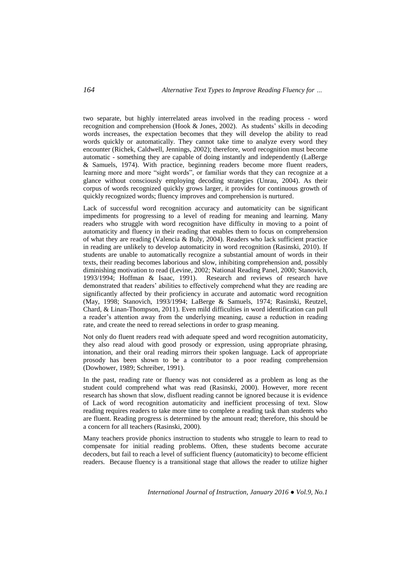two separate, but highly interrelated areas involved in the reading process - word recognition and comprehension (Hook & Jones, 2002). As students' skills in decoding words increases, the expectation becomes that they will develop the ability to read words quickly or automatically. They cannot take time to analyze every word they encounter (Richek, Caldwell, Jennings, 2002); therefore, word recognition must become automatic - something they are capable of doing instantly and independently (LaBerge & Samuels, 1974). With practice, beginning readers become more fluent readers, learning more and more "sight words", or familiar words that they can recognize at a glance without consciously employing decoding strategies (Unrau, 2004). As their corpus of words recognized quickly grows larger, it provides for continuous growth of quickly recognized words; fluency improves and comprehension is nurtured.

Lack of successful word recognition accuracy and automaticity can be significant impediments for progressing to a level of reading for meaning and learning. Many readers who struggle with word recognition have difficulty in moving to a point of automaticity and fluency in their reading that enables them to focus on comprehension of what they are reading (Valencia & Buly, 2004). Readers who lack sufficient practice in reading are unlikely to develop automaticity in word recognition (Rasinski, 2010). If students are unable to automatically recognize a substantial amount of words in their texts, their reading becomes laborious and slow, inhibiting comprehension and, possibly diminishing motivation to read (Levine, 2002; National Reading Panel, 2000; Stanovich, 1993/1994; Hoffman & Isaac, 1991). Research and reviews of research have demonstrated that readers' abilities to effectively comprehend what they are reading are significantly affected by their proficiency in accurate and automatic word recognition (May, 1998; Stanovich, 1993/1994; LaBerge & Samuels, 1974; Rasinski, Reutzel, Chard, & Linan-Thompson, 2011). Even mild difficulties in word identification can pull a reader's attention away from the underlying meaning, cause a reduction in reading rate, and create the need to reread selections in order to grasp meaning.

Not only do fluent readers read with adequate speed and word recognition automaticity, they also read aloud with good prosody or expression, using appropriate phrasing, intonation, and their oral reading mirrors their spoken language. Lack of appropriate prosody has been shown to be a contributor to a poor reading comprehension (Dowhower, 1989; Schreiber, 1991).

In the past, reading rate or fluency was not considered as a problem as long as the student could comprehend what was read (Rasinski, 2000). However, more recent research has shown that slow, disfluent reading cannot be ignored because it is evidence of Lack of word recognition automaticity and inefficient processing of text. Slow reading requires readers to take more time to complete a reading task than students who are fluent. Reading progress is determined by the amount read; therefore, this should be a concern for all teachers (Rasinski, 2000).

Many teachers provide phonics instruction to students who struggle to learn to read to compensate for initial reading problems. Often, these students become accurate decoders, but fail to reach a level of sufficient fluency (automaticity) to become efficient readers. Because fluency is a transitional stage that allows the reader to utilize higher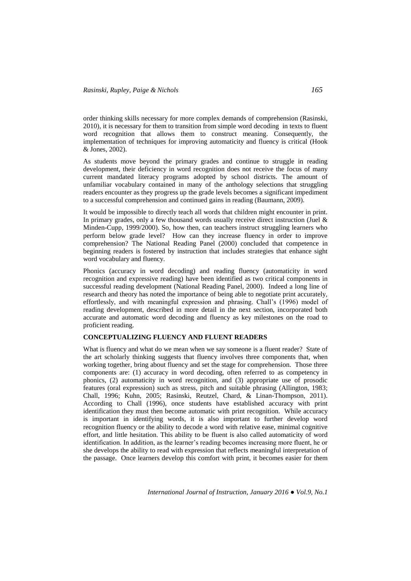order thinking skills necessary for more complex demands of comprehension (Rasinski, 2010), it is necessary for them to transition from simple word decoding in texts to fluent word recognition that allows them to construct meaning. Consequently, the implementation of techniques for improving automaticity and fluency is critical (Hook & Jones, 2002).

As students move beyond the primary grades and continue to struggle in reading development, their deficiency in word recognition does not receive the focus of many current mandated literacy programs adopted by school districts. The amount of unfamiliar vocabulary contained in many of the anthology selections that struggling readers encounter as they progress up the grade levels becomes a significant impediment to a successful comprehension and continued gains in reading (Baumann, 2009).

It would be impossible to directly teach all words that children might encounter in print. In primary grades, only a few thousand words usually receive direct instruction (Juel & Minden-Cupp, 1999/2000). So, how then, can teachers instruct struggling learners who perform below grade level? How can they increase fluency in order to improve comprehension? The National Reading Panel (2000) concluded that competence in beginning readers is fostered by instruction that includes strategies that enhance sight word vocabulary and fluency.

Phonics (accuracy in word decoding) and reading fluency (automaticity in word recognition and expressive reading) have been identified as two critical components in successful reading development (National Reading Panel, 2000). Indeed a long line of research and theory has noted the importance of being able to negotiate print accurately, effortlessly, and with meaningful expression and phrasing. Chall's (1996) model of reading development, described in more detail in the next section, incorporated both accurate and automatic word decoding and fluency as key milestones on the road to proficient reading.

# **CONCEPTUALIZING FLUENCY AND FLUENT READERS**

What is fluency and what do we mean when we say someone is a fluent reader? State of the art scholarly thinking suggests that fluency involves three components that, when working together, bring about fluency and set the stage for comprehension. Those three components are: (1) accuracy in word decoding, often referred to as competency in phonics, (2) automaticity in word recognition, and (3) appropriate use of prosodic features (oral expression) such as stress, pitch and suitable phrasing (Allington, 1983; Chall, 1996; Kuhn, 2005; Rasinski, Reutzel, Chard, & Linan-Thompson, 2011). According to Chall (1996), once students have established accuracy with print identification they must then become automatic with print recognition. While accuracy is important in identifying words, it is also important to further develop word recognition fluency or the ability to decode a word with relative ease, minimal cognitive effort, and little hesitation. This ability to be fluent is also called automaticity of word identification. In addition, as the learner's reading becomes increasing more fluent, he or she develops the ability to read with expression that reflects meaningful interpretation of the passage. Once learners develop this comfort with print, it becomes easier for them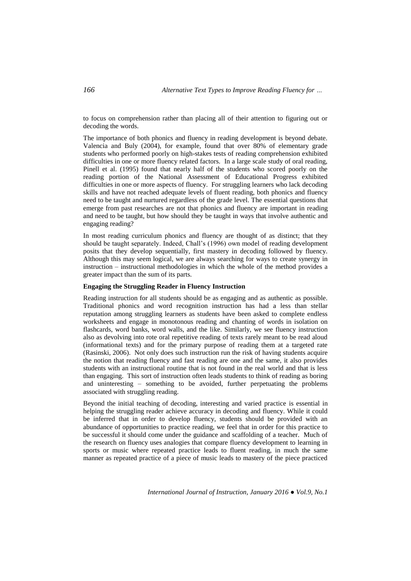to focus on comprehension rather than placing all of their attention to figuring out or decoding the words.

The importance of both phonics and fluency in reading development is beyond debate. Valencia and Buly (2004), for example, found that over 80% of elementary grade students who performed poorly on high-stakes tests of reading comprehension exhibited difficulties in one or more fluency related factors. In a large scale study of oral reading, Pinell et al. (1995) found that nearly half of the students who scored poorly on the reading portion of the National Assessment of Educational Progress exhibited difficulties in one or more aspects of fluency. For struggling learners who lack decoding skills and have not reached adequate levels of fluent reading, both phonics and fluency need to be taught and nurtured regardless of the grade level. The essential questions that emerge from past researches are not that phonics and fluency are important in reading and need to be taught, but how should they be taught in ways that involve authentic and engaging reading?

In most reading curriculum phonics and fluency are thought of as distinct; that they should be taught separately. Indeed, Chall's (1996) own model of reading development posits that they develop sequentially, first mastery in decoding followed by fluency. Although this may seem logical, we are always searching for ways to create synergy in instruction – instructional methodologies in which the whole of the method provides a greater impact than the sum of its parts.

### **Engaging the Struggling Reader in Fluency Instruction**

Reading instruction for all students should be as engaging and as authentic as possible. Traditional phonics and word recognition instruction has had a less than stellar reputation among struggling learners as students have been asked to complete endless worksheets and engage in monotonous reading and chanting of words in isolation on flashcards, word banks, word walls, and the like. Similarly, we see fluency instruction also as devolving into rote oral repetitive reading of texts rarely meant to be read aloud (informational texts) and for the primary purpose of reading them at a targeted rate (Rasinski, 2006). Not only does such instruction run the risk of having students acquire the notion that reading fluency and fast reading are one and the same, it also provides students with an instructional routine that is not found in the real world and that is less than engaging. This sort of instruction often leads students to think of reading as boring and uninteresting – something to be avoided, further perpetuating the problems associated with struggling reading.

Beyond the initial teaching of decoding, interesting and varied practice is essential in helping the struggling reader achieve accuracy in decoding and fluency. While it could be inferred that in order to develop fluency, students should be provided with an abundance of opportunities to practice reading, we feel that in order for this practice to be successful it should come under the guidance and scaffolding of a teacher. Much of the research on fluency uses analogies that compare fluency development to learning in sports or music where repeated practice leads to fluent reading, in much the same manner as repeated practice of a piece of music leads to mastery of the piece practiced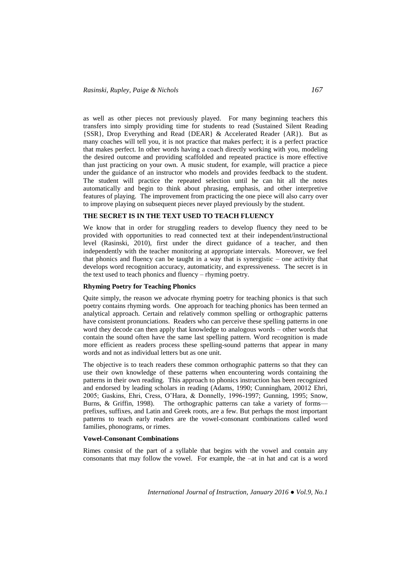as well as other pieces not previously played. For many beginning teachers this transfers into simply providing time for students to read (Sustained Silent Reading {SSR}, Drop Everything and Read {DEAR} & Accelerated Reader {AR}). But as many coaches will tell you, it is not practice that makes perfect; it is a perfect practice that makes perfect. In other words having a coach directly working with you, modeling the desired outcome and providing scaffolded and repeated practice is more effective than just practicing on your own. A music student, for example, will practice a piece under the guidance of an instructor who models and provides feedback to the student. The student will practice the repeated selection until he can hit all the notes automatically and begin to think about phrasing, emphasis, and other interpretive features of playing. The improvement from practicing the one piece will also carry over to improve playing on subsequent pieces never played previously by the student.

# **THE SECRET IS IN THE TEXT USED TO TEACH FLUENCY**

We know that in order for struggling readers to develop fluency they need to be provided with opportunities to read connected text at their independent/instructional level (Rasinski, 2010), first under the direct guidance of a teacher, and then independently with the teacher monitoring at appropriate intervals. Moreover, we feel that phonics and fluency can be taught in a way that is synergistic – one activity that develops word recognition accuracy, automaticity, and expressiveness. The secret is in the text used to teach phonics and fluency – rhyming poetry.

### **Rhyming Poetry for Teaching Phonics**

Quite simply, the reason we advocate rhyming poetry for teaching phonics is that such poetry contains rhyming words. One approach for teaching phonics has been termed an analytical approach. Certain and relatively common spelling or orthographic patterns have consistent pronunciations. Readers who can perceive these spelling patterns in one word they decode can then apply that knowledge to analogous words – other words that contain the sound often have the same last spelling pattern. Word recognition is made more efficient as readers process these spelling-sound patterns that appear in many words and not as individual letters but as one unit.

The objective is to teach readers these common orthographic patterns so that they can use their own knowledge of these patterns when encountering words containing the patterns in their own reading. This approach to phonics instruction has been recognized and endorsed by leading scholars in reading (Adams, 1990; Cunningham, 20012 Ehri, 2005; Gaskins, Ehri, Cress, O'Hara, & Donnelly, 1996-1997; Gunning, 1995; Snow, Burns, & Griffin, 1998). The orthographic patterns can take a variety of forms prefixes, suffixes, and Latin and Greek roots, are a few. But perhaps the most important patterns to teach early readers are the vowel-consonant combinations called word families, phonograms, or rimes.

### **Vowel-Consonant Combinations**

Rimes consist of the part of a syllable that begins with the vowel and contain any consonants that may follow the vowel. For example, the –at in hat and cat is a word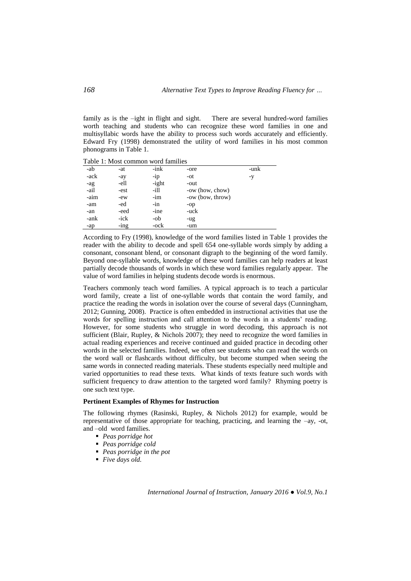family as is the -ight in flight and sight. There are several hundred-word families worth teaching and students who can recognize these word families in one and multisyllabic words have the ability to process such words accurately and efficiently. Edward Fry (1998) demonstrated the utility of word families in his most common phonograms in Table 1.

Table 1: Most common word families

| -ab  | -at     | -ink  | -ore             | -unk |
|------|---------|-------|------------------|------|
| -ack | -ay     | $-ip$ | -ot              | -y   |
| -ag  | -ell    | -ight | -out             |      |
| -ail | -est    | -ill  | -ow (how, chow)  |      |
| -aim | -ew     | $-im$ | -ow (bow, throw) |      |
| -am  | -ed     | $-in$ | $-op$            |      |
| -an  | -eed    | -ine  | -uck             |      |
| -ank | -ick    | -ob   | -ug              |      |
| -ap  | $-$ ing | -ock  | -um              |      |

According to Fry (1998), knowledge of the word families listed in Table 1 provides the reader with the ability to decode and spell 654 one-syllable words simply by adding a consonant, consonant blend, or consonant digraph to the beginning of the word family. Beyond one-syllable words, knowledge of these word families can help readers at least partially decode thousands of words in which these word families regularly appear. The value of word families in helping students decode words is enormous.

Teachers commonly teach word families. A typical approach is to teach a particular word family, create a list of one-syllable words that contain the word family, and practice the reading the words in isolation over the course of several days (Cunningham, 2012; Gunning, 2008). Practice is often embedded in instructional activities that use the words for spelling instruction and call attention to the words in a students' reading. However, for some students who struggle in word decoding, this approach is not sufficient (Blair, Rupley, & Nichols 2007); they need to recognize the word families in actual reading experiences and receive continued and guided practice in decoding other words in the selected families. Indeed, we often see students who can read the words on the word wall or flashcards without difficulty, but become stumped when seeing the same words in connected reading materials. These students especially need multiple and varied opportunities to read these texts. What kinds of texts feature such words with sufficient frequency to draw attention to the targeted word family? Rhyming poetry is one such text type.

### **Pertinent Examples of Rhymes for Instruction**

The following rhymes (Rasinski, Rupley, & Nichols 2012) for example, would be representative of those appropriate for teaching, practicing, and learning the –ay, -ot, and –old word families.

- *Peas porridge hot*
- *Peas porridge cold*
- *Peas porridge in the pot*
- *Five days old.*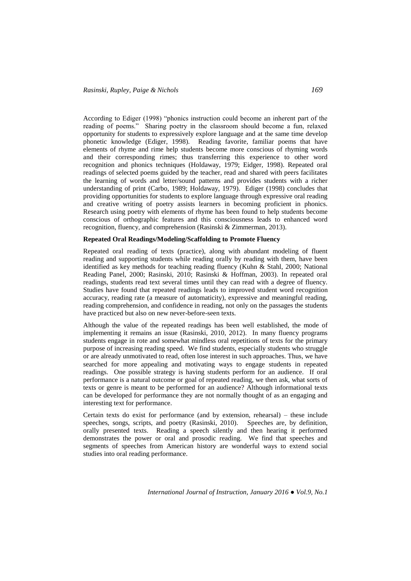According to Ediger (1998) "phonics instruction could become an inherent part of the reading of poems.‖ Sharing poetry in the classroom should become a fun, relaxed opportunity for students to expressively explore language and at the same time develop phonetic knowledge (Ediger, 1998). Reading favorite, familiar poems that have elements of rhyme and rime help students become more conscious of rhyming words and their corresponding rimes; thus transferring this experience to other word recognition and phonics techniques (Holdaway, 1979; Eidger, 1998). Repeated oral readings of selected poems guided by the teacher, read and shared with peers facilitates the learning of words and letter/sound patterns and provides students with a richer understanding of print (Carbo, 1989; Holdaway, 1979). Ediger (1998) concludes that providing opportunities for students to explore language through expressive oral reading and creative writing of poetry assists learners in becoming proficient in phonics. Research using poetry with elements of rhyme has been found to help students become conscious of orthographic features and this consciousness leads to enhanced word recognition, fluency, and comprehension (Rasinski & Zimmerman, 2013).

### **Repeated Oral Readings/Modeling/Scaffolding to Promote Fluency**

Repeated oral reading of texts (practice), along with abundant modeling of fluent reading and supporting students while reading orally by reading with them, have been identified as key methods for teaching reading fluency (Kuhn & Stahl, 2000; National Reading Panel, 2000; Rasinski, 2010; Rasinski & Hoffman, 2003). In repeated oral readings, students read text several times until they can read with a degree of fluency. Studies have found that repeated readings leads to improved student word recognition accuracy, reading rate (a measure of automaticity), expressive and meaningful reading, reading comprehension, and confidence in reading, not only on the passages the students have practiced but also on new never-before-seen texts.

Although the value of the repeated readings has been well established, the mode of implementing it remains an issue (Rasinski, 2010, 2012). In many fluency programs students engage in rote and somewhat mindless oral repetitions of texts for the primary purpose of increasing reading speed. We find students, especially students who struggle or are already unmotivated to read, often lose interest in such approaches. Thus, we have searched for more appealing and motivating ways to engage students in repeated readings. One possible strategy is having students perform for an audience. If oral performance is a natural outcome or goal of repeated reading, we then ask, what sorts of texts or genre is meant to be performed for an audience? Although informational texts can be developed for performance they are not normally thought of as an engaging and interesting text for performance.

Certain texts do exist for performance (and by extension, rehearsal) – these include speeches, songs, scripts, and poetry (Rasinski, 2010). Speeches are, by definition, orally presented texts. Reading a speech silently and then hearing it performed demonstrates the power or oral and prosodic reading. We find that speeches and segments of speeches from American history are wonderful ways to extend social studies into oral reading performance.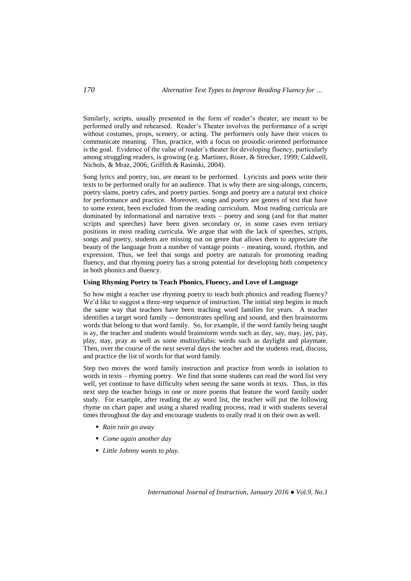Similarly, scripts, usually presented in the form of reader's theater, are meant to be performed orally and rehearsed. Reader's Theater involves the performance of a script without costumes, props, scenery, or acting. The performers only have their voices to communicate meaning. Thus, practice, with a focus on prosodic-oriented performance is the goal. Evidence of the value of reader's theater for developing fluency, particularly among struggling readers, is growing (e.g. Martinez, Roser, & Strecker, 1999; Caldwell, Nichols, & Mraz, 2006; Griffith & Rasinski, 2004).

Song lyrics and poetry, too, are meant to be performed. Lyricists and poets write their texts to be performed orally for an audience. That is why there are sing-alongs, concerts, poetry slams, poetry cafes, and poetry parties. Songs and poetry are a natural text choice for performance and practice. Moreover, songs and poetry are genres of text that have to some extent, been excluded from the reading curriculum. Most reading curricula are dominated by informational and narrative texts – poetry and song (and for that matter scripts and speeches) have been given secondary or, in some cases even tertiary positions in most reading curricula. We argue that with the lack of speeches, scripts, songs and poetry, students are missing out on genre that allows them to appreciate the beauty of the language from a number of vantage points – meaning, sound, rhythm, and expression. Thus, we feel that songs and poetry are naturals for promoting reading fluency, and that rhyming poetry has a strong potential for developing both competency in both phonics and fluency.

## **Using Rhyming Poetry to Teach Phonics, Fluency, and Love of Language**

So how might a teacher use rhyming poetry to teach both phonics and reading fluency? We'd like to suggest a three-step sequence of instruction. The initial step begins in much the same way that teachers have been teaching word families for years. A teacher identifies a target word family -- demonstrates spelling and sound, and then brainstorms words that belong to that word family. So, for example, if the word family being taught is ay, the teacher and students would brainstorm words such as day, say, may, jay, pay, play, stay, pray as well as some multisyllabic words such as daylight and playmate. Then, over the course of the next several days the teacher and the students read, discuss, and practice the list of words for that word family.

Step two moves the word family instruction and practice from words in isolation to words in texts – rhyming poetry. We find that some students can read the word list very well, yet continue to have difficulty when seeing the same words in texts. Thus, in this next step the teacher brings in one or more poems that feature the word family under study. For example, after reading the ay word list, the teacher will put the following rhyme on chart paper and using a shared reading process, read it with students several times throughout the day and encourage students to orally read it on their own as well.

- *Rain rain go away*
- *Come again another day*
- *Little Johnny wants to play.*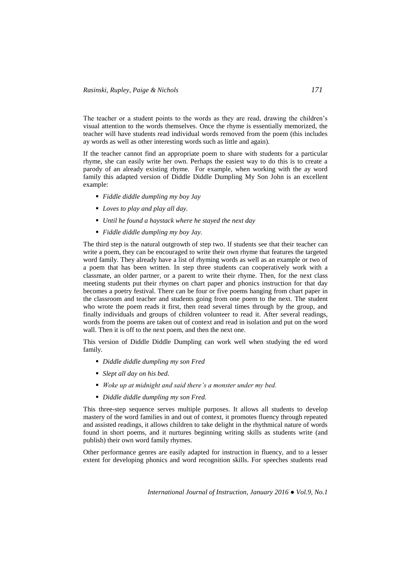The teacher or a student points to the words as they are read, drawing the children's visual attention to the words themselves. Once the rhyme is essentially memorized, the teacher will have students read individual words removed from the poem (this includes ay words as well as other interesting words such as little and again).

If the teacher cannot find an appropriate poem to share with students for a particular rhyme, she can easily write her own. Perhaps the easiest way to do this is to create a parody of an already existing rhyme. For example, when working with the ay word family this adapted version of Diddle Diddle Dumpling My Son John is an excellent example:

- *Fiddle diddle dumpling my boy Jay*
- *Loves to play and play all day.*
- *Until he found a haystack where he stayed the next day*
- *Fiddle diddle dumpling my boy Jay.*

The third step is the natural outgrowth of step two. If students see that their teacher can write a poem, they can be encouraged to write their own rhyme that features the targeted word family. They already have a list of rhyming words as well as an example or two of a poem that has been written. In step three students can cooperatively work with a classmate, an older partner, or a parent to write their rhyme. Then, for the next class meeting students put their rhymes on chart paper and phonics instruction for that day becomes a poetry festival. There can be four or five poems hanging from chart paper in the classroom and teacher and students going from one poem to the next. The student who wrote the poem reads it first, then read several times through by the group, and finally individuals and groups of children volunteer to read it. After several readings, words from the poems are taken out of context and read in isolation and put on the word wall. Then it is off to the next poem, and then the next one.

This version of Diddle Diddle Dumpling can work well when studying the ed word family.

- *Diddle diddle dumpling my son Fred*
- *Slept all day on his bed.*
- *Woke up at midnight and said there's a monster under my bed.*
- *Diddle diddle dumpling my son Fred.*

This three-step sequence serves multiple purposes. It allows all students to develop mastery of the word families in and out of context, it promotes fluency through repeated and assisted readings, it allows children to take delight in the rhythmical nature of words found in short poems, and it nurtures beginning writing skills as students write (and publish) their own word family rhymes.

Other performance genres are easily adapted for instruction in fluency, and to a lesser extent for developing phonics and word recognition skills. For speeches students read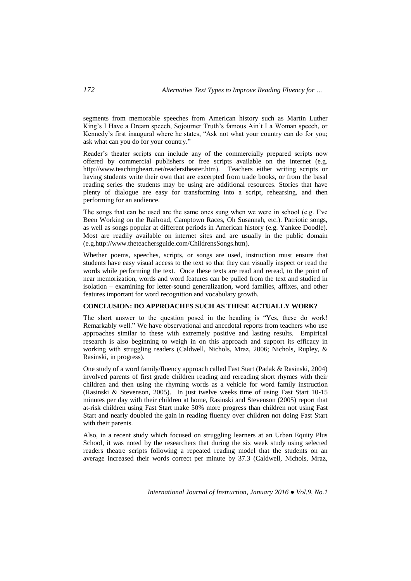segments from memorable speeches from American history such as Martin Luther King's I Have a Dream speech, Sojourner Truth's famous Ain't I a Woman speech, or Kennedy's first inaugural where he states, "Ask not what your country can do for you; ask what can you do for your country."

Reader's theater scripts can include any of the commercially prepared scripts now offered by commercial publishers or free scripts available on the internet (e.g. [http://www.teachingheart.net/readerstheater.htm\)](http://www.teachingheart.net/readerstheater.htm). Teachers either writing scripts or having students write their own that are excerpted from trade books, or from the basal reading series the students may be using are additional resources. Stories that have plenty of dialogue are easy for transforming into a script, rehearsing, and then performing for an audience.

The songs that can be used are the same ones sung when we were in school (e.g. I've Been Working on the Railroad, Camptown Races, Oh Susannah, etc.). Patriotic songs, as well as songs popular at different periods in American history (e.g. Yankee Doodle). Most are readily available on internet sites and are usually in the public domain (e.g[.http://www.theteachersguide.com/ChildrensSongs.htm\)](http://www.theteachersguide.com/ChildrensSongs.htm).

Whether poems, speeches, scripts, or songs are used, instruction must ensure that students have easy visual access to the text so that they can visually inspect or read the words while performing the text. Once these texts are read and reread, to the point of near memorization, words and word features can be pulled from the text and studied in isolation – examining for letter-sound generalization, word families, affixes, and other features important for word recognition and vocabulary growth.

### **CONCLUSION: DO APPROACHES SUCH AS THESE ACTUALLY WORK?**

The short answer to the question posed in the heading is "Yes, these do work! Remarkably well." We have observational and anecdotal reports from teachers who use approaches similar to these with extremely positive and lasting results. Empirical research is also beginning to weigh in on this approach and support its efficacy in working with struggling readers (Caldwell, Nichols, Mraz, 2006; Nichols, Rupley, & Rasinski, in progress).

One study of a word family/fluency approach called Fast Start (Padak & Rasinski, 2004) involved parents of first grade children reading and rereading short rhymes with their children and then using the rhyming words as a vehicle for word family instruction (Rasinski & Stevenson, 2005). In just twelve weeks time of using Fast Start 10-15 minutes per day with their children at home, Rasinski and Stevenson (2005) report that at-risk children using Fast Start make 50% more progress than children not using Fast Start and nearly doubled the gain in reading fluency over children not doing Fast Start with their parents.

Also, in a recent study which focused on struggling learners at an Urban Equity Plus School, it was noted by the researchers that during the six week study using selected readers theatre scripts following a repeated reading model that the students on an average increased their words correct per minute by 37.3 (Caldwell, Nichols, Mraz,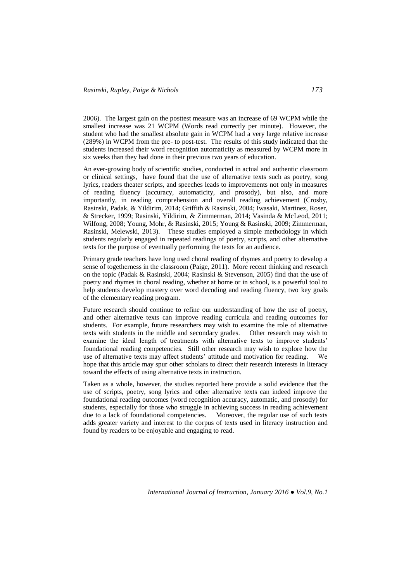2006). The largest gain on the posttest measure was an increase of 69 WCPM while the smallest increase was 21 WCPM (Words read correctly per minute). However, the student who had the smallest absolute gain in WCPM had a very large relative increase (289%) in WCPM from the pre- to post-test. The results of this study indicated that the students increased their word recognition automaticity as measured by WCPM more in six weeks than they had done in their previous two years of education.

An ever-growing body of scientific studies, conducted in actual and authentic classroom or clinical settings, have found that the use of alternative texts such as poetry, song lyrics, readers theater scripts, and speeches leads to improvements not only in measures of reading fluency (accuracy, automaticity, and prosody), but also, and more importantly, in reading comprehension and overall reading achievement (Crosby, Rasinski, Padak, & Yildirim, 2014; Griffith & Rasinski, 2004; Iwasaki, Martinez, Roser, & Strecker, 1999; Rasinski, Yildirim, & Zimmerman, 2014; Vasinda & McLeod, 2011; Wilfong, 2008; Young, Mohr, & Rasinski, 2015; Young & Rasinski, 2009; Zimmerman, Rasinski, Melewski, 2013). These studies employed a simple methodology in which students regularly engaged in repeated readings of poetry, scripts, and other alternative texts for the purpose of eventually performing the texts for an audience.

Primary grade teachers have long used choral reading of rhymes and poetry to develop a sense of togetherness in the classroom (Paige, 2011). More recent thinking and research on the topic (Padak & Rasinski, 2004; Rasinski & Stevenson, 2005) find that the use of poetry and rhymes in choral reading, whether at home or in school, is a powerful tool to help students develop mastery over word decoding and reading fluency, two key goals of the elementary reading program.

Future research should continue to refine our understanding of how the use of poetry, and other alternative texts can improve reading curricula and reading outcomes for students. For example, future researchers may wish to examine the role of alternative texts with students in the middle and secondary grades. Other research may wish to examine the ideal length of treatments with alternative texts to improve students' foundational reading competencies. Still other research may wish to explore how the use of alternative texts may affect students' attitude and motivation for reading. We hope that this article may spur other scholars to direct their research interests in literacy toward the effects of using alternative texts in instruction.

Taken as a whole, however, the studies reported here provide a solid evidence that the use of scripts, poetry, song lyrics and other alternative texts can indeed improve the foundational reading outcomes (word recognition accuracy, automatic, and prosody) for students, especially for those who struggle in achieving success in reading achievement due to a lack of foundational competencies. Moreover, the regular use of such texts adds greater variety and interest to the corpus of texts used in literacy instruction and found by readers to be enjoyable and engaging to read.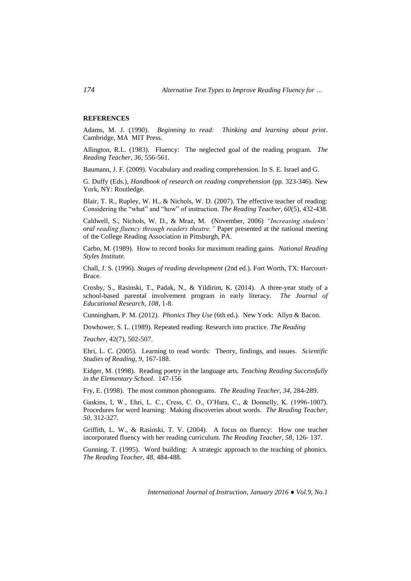### **REFERENCES**

Adams, M. J. (1990). *Beginning to read: Thinking and learning about print*. Cambridge, MA MIT Press.

Allington, R.L. (1983). Fluency: The neglected goal of the reading program. *The Reading Teacher, 36*, 556-561.

Baumann, J. F. (2009). Vocabulary and reading comprehension. In S. E. Israel and G.

G. Duffy (Eds.), *Handbook of research on reading comprehension* (pp. 323-346). New York, NY: Routledge.

Blair, T. R., Rupley, W. H., & Nichols, W. D. (2007). The effective teacher of reading: Considering the "what" and "how" of instruction. *The Reading Teacher, 60(5), 432-438.* 

Caldwell, S., Nichols, W. D., & Mraz, M. (November, 2006) *"Increasing students' oral reading fluency through readers theatre."* Paper presented at the national meeting of the College Reading Association in Pittsburgh, PA.

Carbo, M. (1989). How to record books for maximum reading gains. *National Reading Styles Institute.*

Chall, J. S. (1996). *Stages of reading development* (2nd ed.). Fort Worth, TX: Harcourt-Brace.

Crosby, S., Rasinski, T., Padak, N., & Yildirim, K. (2014). A three-year study of a school-based parental involvement program in early literacy. *The Journal of Educational Research, 108*, 1-8.

Cunningham, P. M. (2012). *Phonics They Use* (6th ed.). New York: Allyn & Bacon.

Dowhower, S. L. (1989). Repeated reading: Research into practice. *The Reading* 

*Teacher*, 42(7), 502-507.

Ehri, L. C. (2005). Learning to read words: Theory, findings, and issues. *Scientific Studies of Reading, 9,* 167-188.

Eidger, M. (1998). Reading poetry in the language arts. *Teaching Reading Successfully in the Elementary School*. 147-156

Fry, E. (1998). The most common phonograms. *The Reading Teacher, 34*, 284-289.

Gaskins, I, W., Ehri, L. C., Cress, C. O., O'Hara, C., & Donnelly, K. (1996-1007). Procedures for word learning: Making discoveries about words. *The Reading Teacher, 50,* 312-327.

Griffith, L. W., & Rasinski, T. V. (2004). A focus on fluency: How one teacher incorporated fluency with her reading curriculum. *The Reading Teacher, 58*, 126- 137.

Gunning, T. (1995). Word building: A strategic approach to the teaching of phonics. *The Reading Teacher, 48,* 484-488.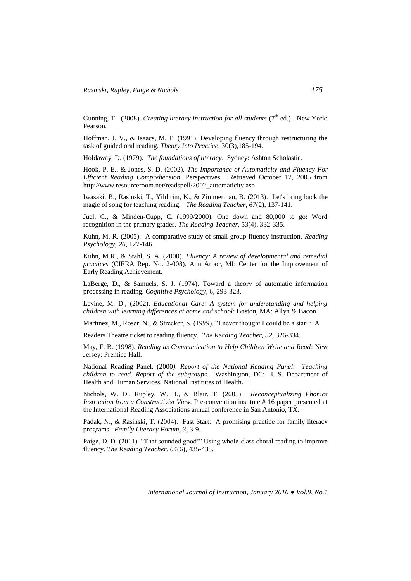Gunning, T. (2008). *Creating literacy instruction for all students* (7<sup>th</sup> ed.). New York: Pearson.

Hoffman, J. V., & Isaacs, M. E. (1991). Developing fluency through restructuring the task of guided oral reading. *Theory Into Practice*, 30(3),185-194.

Holdaway, D. (1979). *The foundations of literacy*. Sydney: Ashton Scholastic.

Hook, P. E., & Jones, S. D. (2002). *The Importance of Automaticity and Fluency For Efficient Reading Comprehension*. Perspectives. Retrieved October 12, 2005 from [http://www.resourceroom.net/readspell/2002\\_automaticity.asp.](http://www.resourceroom.net/readspell/2002_automaticity.asp)

Iwasaki, B., Rasinski, T., Yildirim, K., & Zimmerman, B. (2013). Let's bring back the magic of song for teaching reading. *The Reading Teacher, 67*(2), 137-141.

Juel, C., & Minden-Cupp, C. (1999/2000). One down and 80,000 to go: Word recognition in the primary grades. *The Reading Teacher*, 53(4), 332-335.

Kuhn, M. R. (2005). A comparative study of small group fluency instruction. *Reading Psychology*, *26*, 127-146.

Kuhn, M.R., & Stahl, S. A. (2000). *Fluency: A review of developmental and remedial practices* (CIERA Rep. No. 2-008). Ann Arbor, MI: Center for the Improvement of Early Reading Achievement.

LaBerge, D., & Samuels, S. J. (1974). Toward a theory of automatic information processing in reading. *Cognitive Psychology*, 6, 293-323.

Levine, M. D., (2002). *Educational Care: A system for understanding and helping children with learning differences at home and school*: Boston, MA: Allyn & Bacon.

Martinez, M., Roser, N., & Strecker, S. (1999). "I never thought I could be a star": A

Readers Theatre ticket to reading fluency. *The Reading Teacher, 52*, 326-334.

May, F. B. (1998). *Reading as Communication to Help Children Write and Read*: New Jersey: Prentice Hall.

National Reading Panel. (2000*). Report of the National Reading Panel: Teaching children to read. Report of the subgroups*. Washington, DC: U.S. Department of Health and Human Services, National Institutes of Health.

Nichols, W. D., Rupley, W. H., & Blair, T. (2005). *Reconceptualizing Phonics Instruction from a Constructivist View.* Pre-convention institute # 16 paper presented at the International Reading Associations annual conference in San Antonio, TX.

Padak, N., & Rasinski, T. (2004). Fast Start: A promising practice for family literacy programs. *Family Literacy Forum, 3*, 3-9.

Paige, D. D. (2011). "That sounded good!" Using whole-class choral reading to improve fluency. *The Reading Teacher, 64*(6), 435-438.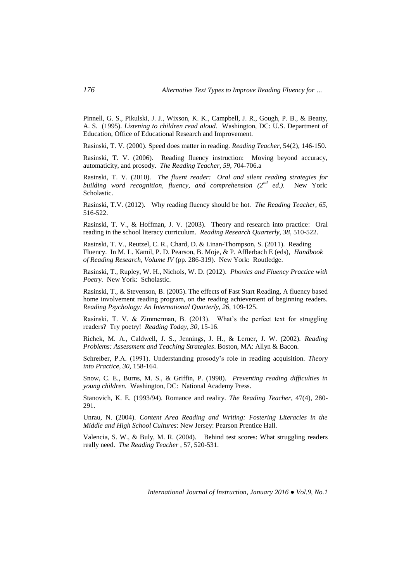Pinnell, G. S., Pikulski, J. J., Wixson, K. K., Campbell, J. R., Gough, P. B., & Beatty, A. S. (1995). *Listening to children read aloud*. Washington, DC: U.S. Department of Education, Office of Educational Research and Improvement.

Rasinski, T. V. (2000). Speed does matter in reading. *Reading Teacher*, 54(2), 146-150.

Rasinski, T. V. (2006). Reading fluency instruction: Moving beyond accuracy, automaticity, and prosody. *The Reading Teacher, 59*, 704-706.a

Rasinski, T. V. (2010). *The fluent reader: Oral and silent reading strategies for building word recognition, fluency, and comprehension (2nd ed.)*. New York: Scholastic.

Rasinski, T.V. (2012). Why reading fluency should be hot. *The Reading Teacher, 65,*  516-522.

Rasinski, T. V., & Hoffman, J. V. (2003). Theory and research into practice: Oral reading in the school literacy curriculum. *Reading Research Quarterly, 38*, 510-522.

Rasinski, T. V., Reutzel, C. R., Chard, D. & Linan-Thompson, S. (2011). Reading Fluency. In M. L. Kamil, P. D. Pearson, B. Moje, & P. Afflerbach E (eds), *Handbook of Reading Research, Volume IV* (pp. 286-319). New York: Routledge.

Rasinski, T., Rupley, W. H., Nichols, W. D. (2012). *Phonics and Fluency Practice with Poetry.* New York: Scholastic.

Rasinski, T., & Stevenson, B. (2005). The effects of Fast Start Reading, A fluency based home involvement reading program, on the reading achievement of beginning readers. *Reading Psychology: An International Quarterly, 26,* 109-125.

Rasinski, T. V. & Zimmerman, B. (2013). What's the perfect text for struggling readers? Try poetry! *Reading Today, 30,* 15-16.

Richek, M. A., Caldwell, J. S., Jennings, J. H., & Lerner, J. W. (2002). *Reading Problems: Assessment and Teaching Strategies*. Boston, MA: Allyn & Bacon.

Schreiber, P.A. (1991). Understanding prosody's role in reading acquisition. *Theory into Practice, 30,* 158-164.

Snow, C. E., Burns, M. S., & Griffin, P. (1998). *Preventing reading difficulties in young children.* Washington, DC: National Academy Press.

Stanovich, K. E. (1993/94). Romance and reality. *The Reading Teacher*, 47(4), 280- 291.

Unrau, N. (2004). *Content Area Reading and Writing: Fostering Literacies in the Middle and High School Cultures*: New Jersey: Pearson Prentice Hall.

Valencia, S. W., & Buly, M. R. (2004). Behind test scores: What struggling readers really need. *The Reading Teacher* , 57, 520-531.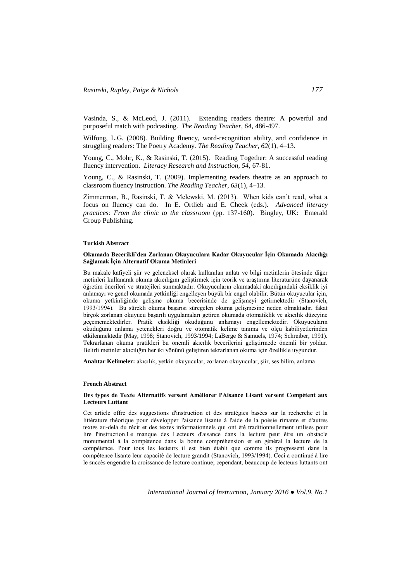Vasinda, S., & McLeod, J. (2011). Extending readers theatre: A powerful and purposeful match with podcasting. *The Reading Teacher, 64*, 486-497.

Wilfong, L.G. (2008). Building fluency, word-recognition ability, and confidence in struggling readers: The Poetry Academy. *The Reading Teacher, 62*(1), 4–13.

Young, C., Mohr, K., & Rasinski, T. (2015). Reading Together: A successful reading fluency intervention. *Literacy Research and Instruction, 54,* 67-81.

Young, C., & Rasinski, T. (2009). Implementing readers theatre as an approach to classroom fluency instruction. *The Reading Teacher, 63*(1), 4–13.

Zimmerman, B., Rasinski, T. & Melewski, M. (2013). When kids can't read, what a focus on fluency can do. In E. Ortlieb and E. Cheek (eds.). *Advanced literacy practices: From the clinic to the classroom* (pp. 137-160). Bingley, UK: Emerald Group Publishing.

#### **Turkish Abstract**

### **Okumada Becerikli'den Zorlanan Okuyuculara Kadar Okuyucular İçin Okumada Akıcılığı Sağlamak İçin Alternatif Okuma Metinleri**

Bu makale kafiyeli şiir ve geleneksel olarak kullanılan anlatı ve bilgi metinlerin ötesinde diğer metinleri kullanarak okuma akıcılığını geliştirmek için teorik ve araştırma literatürüne dayanarak öğretim önerileri ve stratejileri sunmaktadır. Okuyucuların okumadaki akıcılığındaki eksiklik iyi anlamayı ve genel okumada yetkinliği engelleyen büyük bir engel olabilir. Bütün okuyucular için, okuma yetkinliğinde gelişme okuma becerisinde de gelişmeyi getirmektedir (Stanovich, 1993/1994). Bu sürekli okuma başarısı süregelen okuma gelişmesine neden olmaktadır, fakat birçok zorlanan okuyucu başarılı uygulamaları getiren okumada otomatiklik ve akıcılık düzeyine geçememektedirler. Pratik eksikliği okuduğunu anlamayı engellemektedir. Okuyucuların okuduğunu anlama yetenekleri doğru ve otomatik kelime tanıma ve ölçü kabiliyetlerinden etkilenmektedir (May, 1998; Stanovich, 1993/1994; LaBerge & Samuels, 1974; Schreiber, 1991). Tekrarlanan okuma pratikleri bu önemli akıcılık becerilerini geliştirmede önemli bir yoldur. Belirli metinler akıcılığın her iki yönünü geliştiren tekrarlanan okuma için özellikle uygundur.

**Anahtar Kelimeler:** akıcılık, yetkin okuyucular, zorlanan okuyucular, şiir, ses bilim, anlama

#### **French Abstract**

### **Des types de Texte Alternatifs versent Améliorer l'Aisance Lisant versent Compétent aux Lecteurs Luttant**

Cet article offre des suggestions d'instruction et des stratégies basées sur la recherche et la littérature théorique pour développer l'aisance lisante à l'aide de la poésie rimante et d'autres textes au-delà du récit et des textes informationnels qui ont été traditionnellement utilisés pour lire l'instruction.Le manque des Lecteurs d'aisance dans la lecture peut être un obstacle monumental à la compétence dans la bonne compréhension et en général la lecture de la compétence. Pour tous les lecteurs il est bien établi que comme ils progressent dans la compétence lisante leur capacité de lecture grandit (Stanovich, 1993/1994). Ceci a continué à lire le succès engendre la croissance de lecture continue; cependant, beaucoup de lecteurs luttants ont